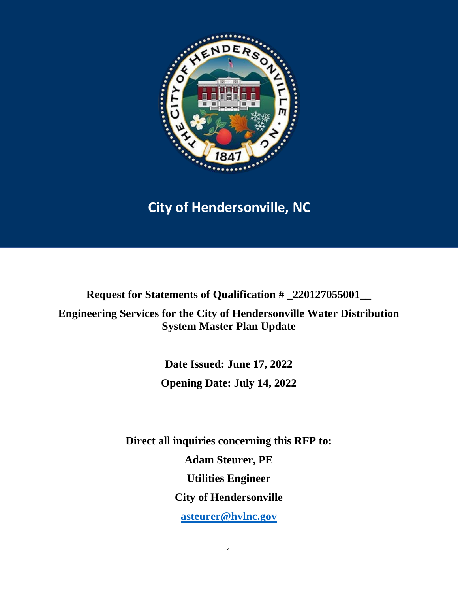

**City of Hendersonville, NC**

**Request for Statements of Qualification # \_220127055001\_\_**

**Engineering Services for the City of Hendersonville Water Distribution System Master Plan Update**

> **Date Issued: June 17, 2022 Opening Date: July 14, 2022**

**Direct all inquiries concerning this RFP to: Adam Steurer, PE Utilities Engineer City of Hendersonville [asteurer@hvlnc.gov](mailto:asteurer@hvlnc.gov)**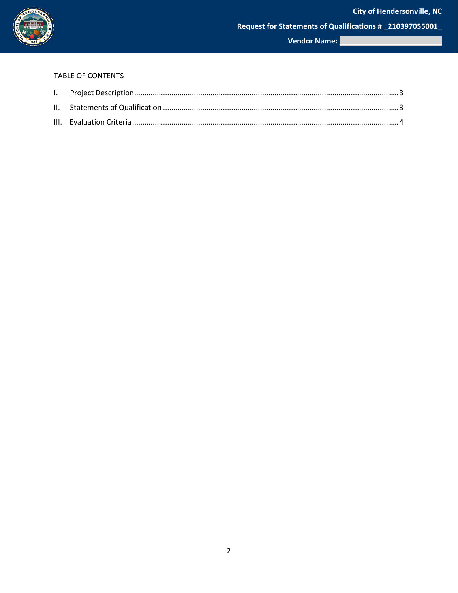

Vendor Name:

### **TABLE OF CONTENTS**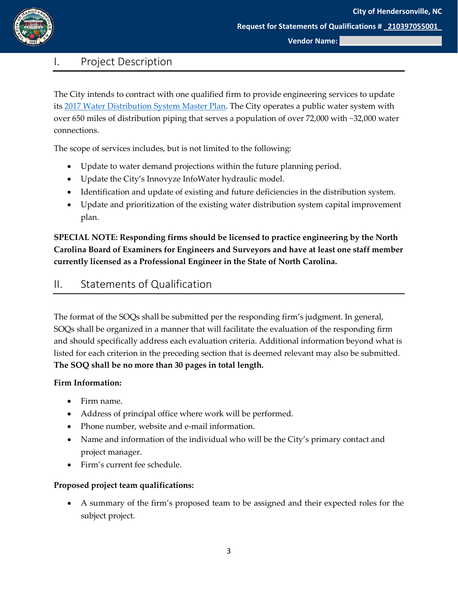

**Vendor Name: \_\_\_\_\_\_\_\_\_\_\_\_\_\_\_\_\_\_\_\_\_\_\_\_\_**

# <span id="page-2-0"></span>I. Project Description

The City intends to contract with one qualified firm to provide engineering services to update its [2017 Water Distribution System Master Plan.](https://www.hendersonvillenc.gov/sites/default/files/uploads/departments/engineering/hville_report_final-with-large-figures-updated-june-2018.pdf) The City operates a public water system with over 650 miles of distribution piping that serves a population of over 72,000 with ~32,000 water connections.

The scope of services includes, but is not limited to the following:

- Update to water demand projections within the future planning period.
- Update the City's Innovyze InfoWater hydraulic model.
- Identification and update of existing and future deficiencies in the distribution system.
- Update and prioritization of the existing water distribution system capital improvement plan.

**SPECIAL NOTE: Responding firms should be licensed to practice engineering by the North Carolina Board of Examiners for Engineers and Surveyors and have at least one staff member currently licensed as a Professional Engineer in the State of North Carolina.**

## <span id="page-2-1"></span>II. Statements of Qualification

The format of the SOQs shall be submitted per the responding firm's judgment. In general, SOQs shall be organized in a manner that will facilitate the evaluation of the responding firm and should specifically address each evaluation criteria. Additional information beyond what is listed for each criterion in the preceding section that is deemed relevant may also be submitted. **The SOQ shall be no more than 30 pages in total length.**

## **Firm Information:**

- Firm name.
- Address of principal office where work will be performed.
- Phone number, website and e-mail information.
- Name and information of the individual who will be the City's primary contact and project manager.
- Firm's current fee schedule.

### **Proposed project team qualifications:**

• A summary of the firm's proposed team to be assigned and their expected roles for the subject project.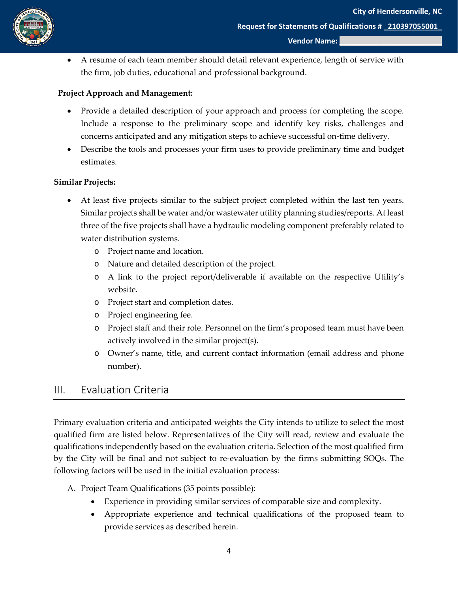

• A resume of each team member should detail relevant experience, length of service with the firm, job duties, educational and professional background.

### **Project Approach and Management:**

- Provide a detailed description of your approach and process for completing the scope. Include a response to the preliminary scope and identify key risks, challenges and concerns anticipated and any mitigation steps to achieve successful on-time delivery.
- Describe the tools and processes your firm uses to provide preliminary time and budget estimates.

#### **Similar Projects:**

- At least five projects similar to the subject project completed within the last ten years. Similar projects shall be water and/or wastewater utility planning studies/reports. At least three of the five projects shall have a hydraulic modeling component preferably related to water distribution systems.
	- o Project name and location.
	- o Nature and detailed description of the project.
	- o A link to the project report/deliverable if available on the respective Utility's website.
	- o Project start and completion dates.
	- o Project engineering fee.
	- o Project staff and their role. Personnel on the firm's proposed team must have been actively involved in the similar project(s).
	- o Owner's name, title, and current contact information (email address and phone number).

## <span id="page-3-0"></span>III. Evaluation Criteria

Primary evaluation criteria and anticipated weights the City intends to utilize to select the most qualified firm are listed below. Representatives of the City will read, review and evaluate the qualifications independently based on the evaluation criteria. Selection of the most qualified firm by the City will be final and not subject to re-evaluation by the firms submitting SOQs. The following factors will be used in the initial evaluation process:

- A. Project Team Qualifications (35 points possible):
	- Experience in providing similar services of comparable size and complexity.
	- Appropriate experience and technical qualifications of the proposed team to provide services as described herein.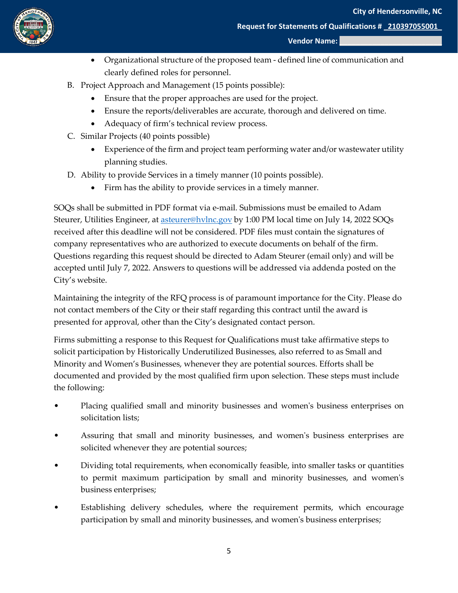

#### **Vendor Name: \_\_\_\_\_\_\_\_\_\_\_\_\_\_\_\_\_\_\_\_\_\_\_\_\_**

- Organizational structure of the proposed team defined line of communication and clearly defined roles for personnel.
- B. Project Approach and Management (15 points possible):
	- Ensure that the proper approaches are used for the project.
	- Ensure the reports/deliverables are accurate, thorough and delivered on time.
	- Adequacy of firm's technical review process.
- C. Similar Projects (40 points possible)
	- Experience of the firm and project team performing water and/or wastewater utility planning studies.
- D. Ability to provide Services in a timely manner (10 points possible).
	- Firm has the ability to provide services in a timely manner.

SOQs shall be submitted in PDF format via e-mail. Submissions must be emailed to Adam Steurer, Utilities Engineer, at [asteurer@hvlnc.gov](mailto:asteurer@hvlnc.gov) by 1:00 PM local time on July 14, 2022 SOQs received after this deadline will not be considered. PDF files must contain the signatures of company representatives who are authorized to execute documents on behalf of the firm. Questions regarding this request should be directed to Adam Steurer (email only) and will be accepted until July 7, 2022. Answers to questions will be addressed via addenda posted on the City's website.

Maintaining the integrity of the RFQ process is of paramount importance for the City. Please do not contact members of the City or their staff regarding this contract until the award is presented for approval, other than the City's designated contact person.

Firms submitting a response to this Request for Qualifications must take affirmative steps to solicit participation by Historically Underutilized Businesses, also referred to as Small and Minority and Women's Businesses, whenever they are potential sources. Efforts shall be documented and provided by the most qualified firm upon selection. These steps must include the following:

- Placing qualified small and minority businesses and women's business enterprises on solicitation lists;
- Assuring that small and minority businesses, and women's business enterprises are solicited whenever they are potential sources;
- Dividing total requirements, when economically feasible, into smaller tasks or quantities to permit maximum participation by small and minority businesses, and women's business enterprises;
- Establishing delivery schedules, where the requirement permits, which encourage participation by small and minority businesses, and women's business enterprises;